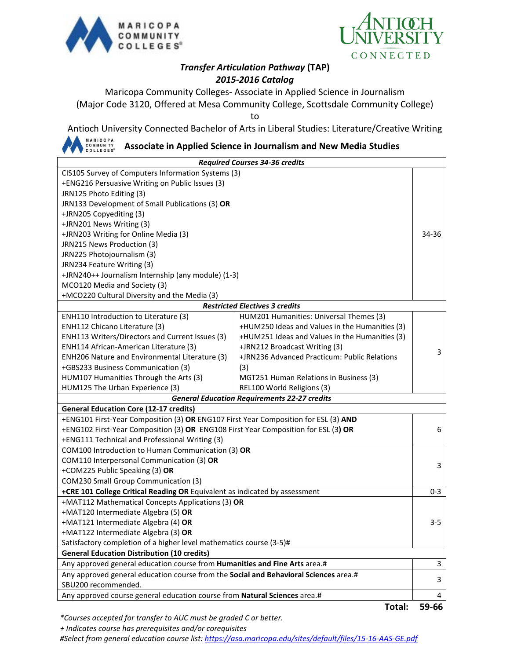



## *Transfer Articulation Pathway* **(TAP)** *2015-2016 Catalog*

Maricopa Community Colleges- Associate in Applied Science in Journalism (Major Code 3120, Offered at Mesa Community College, Scottsdale Community College)

to

Antioch University Connected Bachelor of Arts in Liberal Studies: Literature/Creative Writing

MARICOPA<br>COMMUNITY<br>COLLEGES® **Associate in Applied Science in Journalism and New Media Studies**

| <b>Required Courses 34-36 credits</b>                                                |                                                |         |  |
|--------------------------------------------------------------------------------------|------------------------------------------------|---------|--|
| CIS105 Survey of Computers Information Systems (3)                                   |                                                |         |  |
| +ENG216 Persuasive Writing on Public Issues (3)                                      |                                                |         |  |
| JRN125 Photo Editing (3)                                                             |                                                |         |  |
| JRN133 Development of Small Publications (3) OR                                      |                                                |         |  |
| +JRN205 Copyediting (3)                                                              |                                                |         |  |
| +JRN201 News Writing (3)                                                             |                                                |         |  |
| +JRN203 Writing for Online Media (3)<br>34-36                                        |                                                |         |  |
| JRN215 News Production (3)                                                           |                                                |         |  |
| JRN225 Photojournalism (3)                                                           |                                                |         |  |
| JRN234 Feature Writing (3)                                                           |                                                |         |  |
| +JRN240++ Journalism Internship (any module) (1-3)                                   |                                                |         |  |
| MCO120 Media and Society (3)                                                         |                                                |         |  |
| +MCO220 Cultural Diversity and the Media (3)                                         |                                                |         |  |
|                                                                                      | <b>Restricted Electives 3 credits</b>          |         |  |
| ENH110 Introduction to Literature (3)                                                | HUM201 Humanities: Universal Themes (3)        |         |  |
| ENH112 Chicano Literature (3)                                                        | +HUM250 Ideas and Values in the Humanities (3) |         |  |
| ENH113 Writers/Directors and Current Issues (3)                                      | +HUM251 Ideas and Values in the Humanities (3) |         |  |
| ENH114 African-American Literature (3)                                               | +JRN212 Broadcast Writing (3)                  | 3       |  |
| ENH206 Nature and Environmental Literature (3)                                       | +JRN236 Advanced Practicum: Public Relations   |         |  |
| +GBS233 Business Communication (3)                                                   | (3)                                            |         |  |
| HUM107 Humanities Through the Arts (3)                                               | MGT251 Human Relations in Business (3)         |         |  |
| HUM125 The Urban Experience (3)                                                      | REL100 World Religions (3)                     |         |  |
| <b>General Education Requirements 22-27 credits</b>                                  |                                                |         |  |
| <b>General Education Core (12-17 credits)</b>                                        |                                                |         |  |
| +ENG101 First-Year Composition (3) OR ENG107 First Year Composition for ESL (3) AND  |                                                |         |  |
| +ENG102 First-Year Composition (3) OR ENG108 First Year Composition for ESL (3) OR   |                                                | 6       |  |
| +ENG111 Technical and Professional Writing (3)                                       |                                                |         |  |
| COM100 Introduction to Human Communication (3) OR                                    |                                                |         |  |
| COM110 Interpersonal Communication (3) OR                                            |                                                | 3       |  |
| +COM225 Public Speaking (3) OR                                                       |                                                |         |  |
| COM230 Small Group Communication (3)                                                 |                                                |         |  |
| +CRE 101 College Critical Reading OR Equivalent as indicated by assessment           |                                                |         |  |
| +MAT112 Mathematical Concepts Applications (3) OR                                    |                                                |         |  |
| +MAT120 Intermediate Algebra (5) OR                                                  |                                                |         |  |
| +MAT121 Intermediate Algebra (4) OR                                                  |                                                | $3 - 5$ |  |
| +MAT122 Intermediate Algebra (3) OR                                                  |                                                |         |  |
| Satisfactory completion of a higher level mathematics course (3-5)#                  |                                                |         |  |
| <b>General Education Distribution (10 credits)</b>                                   |                                                |         |  |
| Any approved general education course from Humanities and Fine Arts area.#           |                                                | 3       |  |
| Any approved general education course from the Social and Behavioral Sciences area.# |                                                |         |  |
| SBU200 recommended.                                                                  |                                                |         |  |
| Any approved course general education course from Natural Sciences area.#<br>4       |                                                |         |  |

**Total: 59-66**

*\*Courses accepted for transfer to AUC must be graded C or better.*

 *+ Indicates course has prerequisites and/or corequisites*

*#Select from general education course list:<https://asa.maricopa.edu/sites/default/files/15-16-AAS-GE.pdf>*